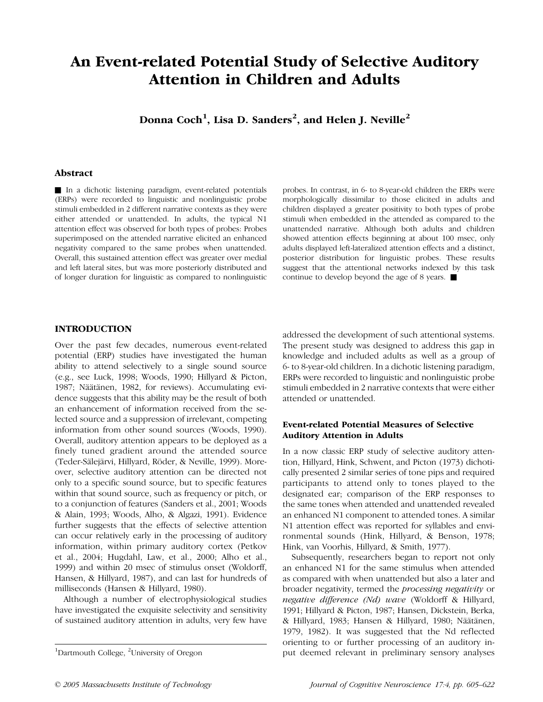# An Event-related Potential Study of Selective Auditory Attention in Children and Adults

Donna Coch $^1$ , Lisa D. Sanders $^2$ , and Helen J. Neville $^2$ 

### Abstract

In a dichotic listening paradigm, event-related potentials (ERPs) were recorded to linguistic and nonlinguistic probe stimuli embedded in 2 different narrative contexts as they were either attended or unattended. In adults, the typical N1 attention effect was observed for both types of probes: Probes superimposed on the attended narrative elicited an enhanced negativity compared to the same probes when unattended. Overall, this sustained attention effect was greater over medial and left lateral sites, but was more posteriorly distributed and of longer duration for linguistic as compared to nonlinguistic probes. In contrast, in 6- to 8-year-old children the ERPs were morphologically dissimilar to those elicited in adults and children displayed a greater positivity to both types of probe stimuli when embedded in the attended as compared to the unattended narrative. Although both adults and children showed attention effects beginning at about 100 msec, only adults displayed left-lateralized attention effects and a distinct, posterior distribution for linguistic probes. These results suggest that the attentional networks indexed by this task continue to develop beyond the age of 8 years.  $\blacksquare$ 

# INTRODUCTION

Over the past few decades, numerous event-related potential (ERP) studies have investigated the human ability to attend selectively to a single sound source (e.g., see Luck, 1998; Woods, 1990; Hillyard & Picton, 1987; Näätänen, 1982, for reviews). Accumulating evidence suggests that this ability may be the result of both an enhancement of information received from the selected source and a suppression of irrelevant, competing information from other sound sources (Woods, 1990). Overall, auditory attention appears to be deployed as a finely tuned gradient around the attended source (Teder-Sälejärvi, Hillyard, Röder, & Neville, 1999). Moreover, selective auditory attention can be directed not only to a specific sound source, but to specific features within that sound source, such as frequency or pitch, or to a conjunction of features (Sanders et al., 2001; Woods & Alain, 1993; Woods, Alho, & Algazi, 1991). Evidence further suggests that the effects of selective attention can occur relatively early in the processing of auditory information, within primary auditory cortex (Petkov et al., 2004; Hugdahl, Law, et al., 2000; Alho et al., 1999) and within 20 msec of stimulus onset (Woldorff, Hansen, & Hillyard, 1987), and can last for hundreds of milliseconds (Hansen & Hillyard, 1980).

Although a number of electrophysiological studies have investigated the exquisite selectivity and sensitivity of sustained auditory attention in adults, very few have addressed the development of such attentional systems. The present study was designed to address this gap in knowledge and included adults as well as a group of 6- to 8-year-old children. In a dichotic listening paradigm, ERPs were recorded to linguistic and nonlinguistic probe stimuli embedded in 2 narrative contexts that were either attended or unattended.

## Event-related Potential Measures of Selective Auditory Attention in Adults

In a now classic ERP study of selective auditory attention, Hillyard, Hink, Schwent, and Picton (1973) dichotically presented 2 similar series of tone pips and required participants to attend only to tones played to the designated ear; comparison of the ERP responses to the same tones when attended and unattended revealed an enhanced N1 component to attended tones. A similar N1 attention effect was reported for syllables and environmental sounds (Hink, Hillyard, & Benson, 1978; Hink, van Voorhis, Hillyard, & Smith, 1977).

Subsequently, researchers began to report not only an enhanced N1 for the same stimulus when attended as compared with when unattended but also a later and broader negativity, termed the processing negativity or negative difference (Nd) wave (Woldorff & Hillyard, 1991; Hillyard & Picton, 1987; Hansen, Dickstein, Berka, & Hillyard, 1983; Hansen & Hillyard, 1980; Näätänen, 1979, 1982). It was suggested that the Nd reflected orienting to or further processing of an auditory input deemed relevant in preliminary sensory analyses

Dartmouth College, <sup>2</sup>University of Oregon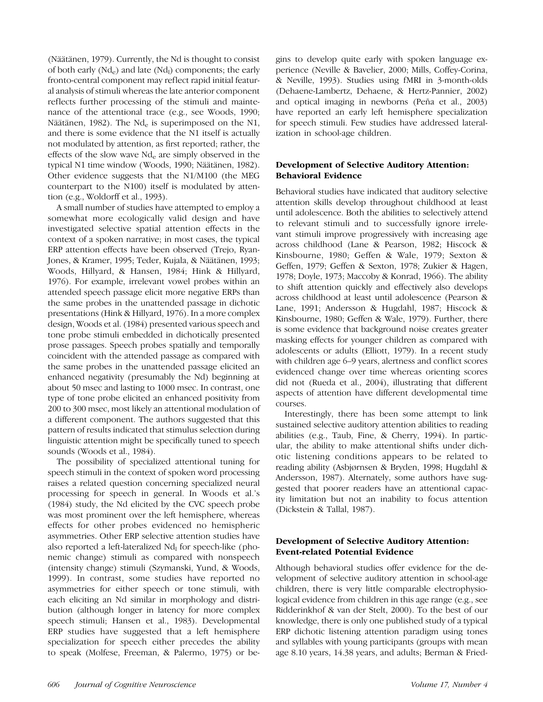(Näätänen, 1979). Currently, the Nd is thought to consist of both early (Nd<sub>e</sub>) and late (Nd<sub>l</sub>) components; the early fronto-central component may reflect rapid initial featural analysis of stimuli whereas the late anterior component reflects further processing of the stimuli and maintenance of the attentional trace (e.g., see Woods, 1990; Näätänen, 1982). The Nd<sub>e</sub> is superimposed on the N1, and there is some evidence that the N1 itself is actually not modulated by attention, as first reported; rather, the effects of the slow wave  $Nd_e$  are simply observed in the typical N1 time window (Woods, 1990; Näätänen, 1982). Other evidence suggests that the N1/M100 (the MEG counterpart to the N100) itself is modulated by attention (e.g., Woldorff et al., 1993).

A small number of studies have attempted to employ a somewhat more ecologically valid design and have investigated selective spatial attention effects in the context of a spoken narrative; in most cases, the typical ERP attention effects have been observed (Trejo, Ryan-Jones, & Kramer, 1995; Teder, Kujala, & Näätänen, 1993; Woods, Hillyard, & Hansen, 1984; Hink & Hillyard, 1976). For example, irrelevant vowel probes within an attended speech passage elicit more negative ERPs than the same probes in the unattended passage in dichotic presentations (Hink & Hillyard, 1976). In a more complex design, Woods et al. (1984) presented various speech and tone probe stimuli embedded in dichotically presented prose passages. Speech probes spatially and temporally coincident with the attended passage as compared with the same probes in the unattended passage elicited an enhanced negativity (presumably the Nd) beginning at about 50 msec and lasting to 1000 msec. In contrast, one type of tone probe elicited an enhanced positivity from 200 to 300 msec, most likely an attentional modulation of a different component. The authors suggested that this pattern of results indicated that stimulus selection during linguistic attention might be specifically tuned to speech sounds (Woods et al., 1984).

The possibility of specialized attentional tuning for speech stimuli in the context of spoken word processing raises a related question concerning specialized neural processing for speech in general. In Woods et al.'s (1984) study, the Nd elicited by the CVC speech probe was most prominent over the left hemisphere, whereas effects for other probes evidenced no hemispheric asymmetries. Other ERP selective attention studies have also reported a left-lateralized  $Nd<sub>l</sub>$  for speech-like (phonemic change) stimuli as compared with nonspeech (intensity change) stimuli (Szymanski, Yund, & Woods, 1999). In contrast, some studies have reported no asymmetries for either speech or tone stimuli, with each eliciting an Nd similar in morphology and distribution (although longer in latency for more complex speech stimuli; Hansen et al., 1983). Developmental ERP studies have suggested that a left hemisphere specialization for speech either precedes the ability to speak (Molfese, Freeman, & Palermo, 1975) or begins to develop quite early with spoken language experience (Neville & Bavelier, 2000; Mills, Coffey-Corina, & Neville, 1993). Studies using fMRI in 3-month-olds (Dehaene-Lambertz, Dehaene, & Hertz-Pannier, 2002) and optical imaging in newborns (Peña et al., 2003) have reported an early left hemisphere specialization for speech stimuli. Few studies have addressed lateralization in school-age children.

# Development of Selective Auditory Attention: Behavioral Evidence

Behavioral studies have indicated that auditory selective attention skills develop throughout childhood at least until adolescence. Both the abilities to selectively attend to relevant stimuli and to successfully ignore irrelevant stimuli improve progressively with increasing age across childhood (Lane & Pearson, 1982; Hiscock & Kinsbourne, 1980; Geffen & Wale, 1979; Sexton & Geffen, 1979; Geffen & Sexton, 1978; Zukier & Hagen, 1978; Doyle, 1973; Maccoby & Konrad, 1966). The ability to shift attention quickly and effectively also develops across childhood at least until adolescence (Pearson & Lane, 1991; Andersson & Hugdahl, 1987; Hiscock & Kinsbourne, 1980; Geffen & Wale, 1979). Further, there is some evidence that background noise creates greater masking effects for younger children as compared with adolescents or adults (Elliott, 1979). In a recent study with children age 6–9 years, alertness and conflict scores evidenced change over time whereas orienting scores did not (Rueda et al., 2004), illustrating that different aspects of attention have different developmental time courses.

Interestingly, there has been some attempt to link sustained selective auditory attention abilities to reading abilities (e.g., Taub, Fine, & Cherry, 1994). In particular, the ability to make attentional shifts under dichotic listening conditions appears to be related to reading ability (Asbjørnsen & Bryden, 1998; Hugdahl & Andersson, 1987). Alternately, some authors have suggested that poorer readers have an attentional capacity limitation but not an inability to focus attention (Dickstein & Tallal, 1987).

# Development of Selective Auditory Attention: Event-related Potential Evidence

Although behavioral studies offer evidence for the development of selective auditory attention in school-age children, there is very little comparable electrophysiological evidence from children in this age range (e.g., see Ridderinkhof & van der Stelt, 2000). To the best of our knowledge, there is only one published study of a typical ERP dichotic listening attention paradigm using tones and syllables with young participants (groups with mean age 8.10 years, 14.38 years, and adults; Berman & Fried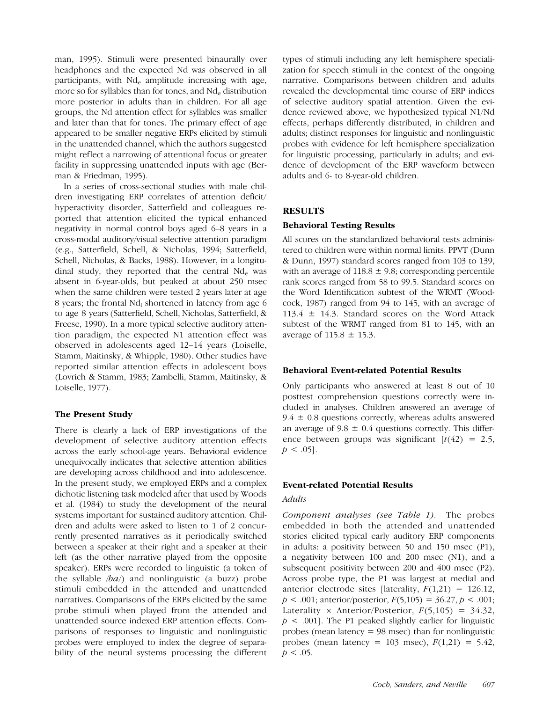man, 1995). Stimuli were presented binaurally over headphones and the expected Nd was observed in all participants, with Nd<sub>e</sub> amplitude increasing with age, more so for syllables than for tones, and  $Nd<sub>e</sub>$  distribution more posterior in adults than in children. For all age groups, the Nd attention effect for syllables was smaller and later than that for tones. The primary effect of age appeared to be smaller negative ERPs elicited by stimuli in the unattended channel, which the authors suggested might reflect a narrowing of attentional focus or greater facility in suppressing unattended inputs with age (Berman & Friedman, 1995).

In a series of cross-sectional studies with male children investigating ERP correlates of attention deficit/ hyperactivity disorder, Satterfield and colleagues reported that attention elicited the typical enhanced negativity in normal control boys aged 6–8 years in a cross-modal auditory/visual selective attention paradigm (e.g., Satterfield, Schell, & Nicholas, 1994; Satterfield, Schell, Nicholas, & Backs, 1988). However, in a longitudinal study, they reported that the central  $Nd_e$  was absent in 6-year-olds, but peaked at about 250 msec when the same children were tested 2 years later at age 8 years; the frontal  $Nd<sub>l</sub>$  shortened in latency from age 6 to age 8 years (Satterfield, Schell, Nicholas, Satterfield, & Freese, 1990). In a more typical selective auditory attention paradigm, the expected N1 attention effect was observed in adolescents aged 12–14 years (Loiselle, Stamm, Maitinsky, & Whipple, 1980). Other studies have reported similar attention effects in adolescent boys (Lovrich & Stamm, 1983; Zambelli, Stamm, Maitinsky, & Loiselle, 1977).

# The Present Study

There is clearly a lack of ERP investigations of the development of selective auditory attention effects across the early school-age years. Behavioral evidence unequivocally indicates that selective attention abilities are developing across childhood and into adolescence. In the present study, we employed ERPs and a complex dichotic listening task modeled after that used by Woods et al. (1984) to study the development of the neural systems important for sustained auditory attention. Children and adults were asked to listen to 1 of 2 concurrently presented narratives as it periodically switched between a speaker at their right and a speaker at their left (as the other narrative played from the opposite speaker). ERPs were recorded to linguistic (a token of the syllable  $/ba$  and nonlinguistic (a buzz) probe stimuli embedded in the attended and unattended narratives. Comparisons of the ERPs elicited by the same probe stimuli when played from the attended and unattended source indexed ERP attention effects. Comparisons of responses to linguistic and nonlinguistic probes were employed to index the degree of separability of the neural systems processing the different types of stimuli including any left hemisphere specialization for speech stimuli in the context of the ongoing narrative. Comparisons between children and adults revealed the developmental time course of ERP indices of selective auditory spatial attention. Given the evidence reviewed above, we hypothesized typical N1/Nd effects, perhaps differently distributed, in children and adults; distinct responses for linguistic and nonlinguistic probes with evidence for left hemisphere specialization for linguistic processing, particularly in adults; and evidence of development of the ERP waveform between adults and 6- to 8-year-old children.

## RESULTS

## Behavioral Testing Results

All scores on the standardized behavioral tests administered to children were within normal limits. PPVT (Dunn & Dunn, 1997) standard scores ranged from 103 to 139, with an average of  $118.8 \pm 9.8$ ; corresponding percentile rank scores ranged from 58 to 99.5. Standard scores on the Word Identification subtest of the WRMT (Woodcock, 1987) ranged from 94 to 145, with an average of 113.4  $\pm$  14.3. Standard scores on the Word Attack subtest of the WRMT ranged from 81 to 145, with an average of  $115.8 \pm 15.3$ .

## Behavioral Event-related Potential Results

Only participants who answered at least 8 out of 10 posttest comprehension questions correctly were included in analyses. Children answered an average of  $9.4 \pm 0.8$  questions correctly, whereas adults answered an average of  $9.8 \pm 0.4$  questions correctly. This difference between groups was significant  $[t(42) = 2.5]$ ,  $p < .05$ ].

## Event-related Potential Results

#### Adults

Component analyses (see Table 1). The probes embedded in both the attended and unattended stories elicited typical early auditory ERP components in adults: a positivity between 50 and 150 msec (P1), a negativity between 100 and 200 msec (N1), and a subsequent positivity between 200 and 400 msec (P2). Across probe type, the P1 was largest at medial and anterior electrode sites [laterality,  $F(1,21) = 126.12$ ,  $p < .001$ ; anterior/posterior,  $F(5,105) = 36.27, p < .001$ ; Laterality  $\times$  Anterior/Posterior,  $F(5,105) = 34.32$ ,  $p < .001$ . The P1 peaked slightly earlier for linguistic probes (mean latency  $= 98$  msec) than for nonlinguistic probes (mean latency = 103 msec),  $F(1,21) = 5.42$ ,  $p < .05$ .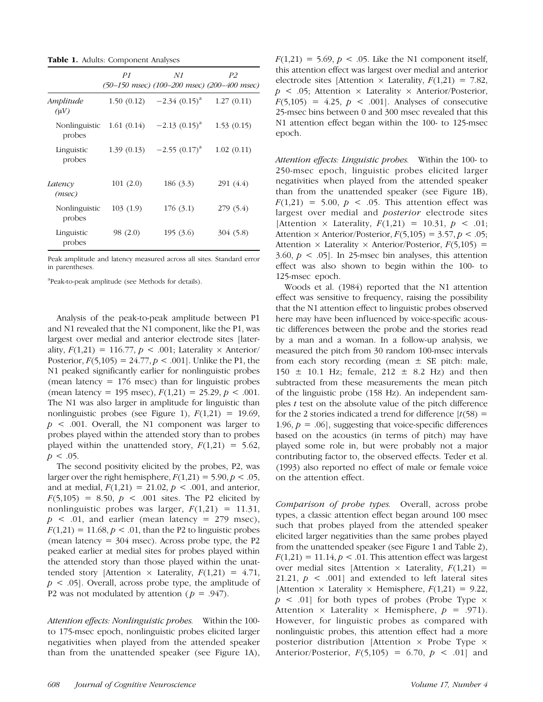**Table 1.** Adults: Component Analyses

|                         | P1         | N1<br>(50-150 msec) (100-200 msec) (200-400 msec) | P2         |
|-------------------------|------------|---------------------------------------------------|------------|
| Amplitude<br>$(\mu V)$  | 1.50(0.12) | $-2.34(0.15)^{a}$                                 | 1.27(0.11) |
| Nonlinguistic<br>probes | 1.61(0.14) | $-2.13$ $(0.15)^{a}$                              | 1.53(0.15) |
| Linguistic<br>probes    | 1.39(0.13) | $-2.55$ $(0.17)^{a}$                              | 1.02(0.11) |
| Latency<br>(msec)       | 101(2.0)   | 186 (3.3)                                         | 291 (4.4)  |
| Nonlinguistic<br>probes | 103(1.9)   | 176(3.1)                                          | 279(5.4)   |
| Linguistic<br>probes    | 98 (2.0)   | 195(3.6)                                          | 304 (5.8)  |

Peak amplitude and latency measured across all sites. Standard error in parentheses.

a Peak-to-peak amplitude (see Methods for details).

Analysis of the peak-to-peak amplitude between P1 and N1 revealed that the N1 component, like the P1, was largest over medial and anterior electrode sites [laterality,  $F(1,21) = 116.77$ ,  $p < .001$ ; Laterality  $\times$  Anterior/ Posterior,  $F(5,105) = 24.77$ ,  $p < .001$ . Unlike the P1, the N1 peaked significantly earlier for nonlinguistic probes (mean latency  $= 176$  msec) than for linguistic probes (mean latency = 195 msec),  $F(1,21) = 25.29, p < .001$ . The N1 was also larger in amplitude for linguistic than nonlinguistic probes (see Figure 1),  $F(1,21) = 19.69$ ,  $p \leq 0.001$ . Overall, the N1 component was larger to probes played within the attended story than to probes played within the unattended story,  $F(1,21) = 5.62$ ,  $p < .05$ .

The second positivity elicited by the probes, P2, was larger over the right hemisphere,  $F(1,21) = 5.90, p < .05$ , and at medial,  $F(1,21) = 21.02$ ,  $p < .001$ , and anterior,  $F(5,105) = 8.50, p < .001$  sites. The P2 elicited by nonlinguistic probes was larger,  $F(1,21) = 11.31$ ,  $p \leq 0.01$ , and earlier (mean latency = 279 msec),  $F(1,21) = 11.68, p < .01$ , than the P2 to linguistic probes (mean latency  $= 304$  msec). Across probe type, the P2 peaked earlier at medial sites for probes played within the attended story than those played within the unattended story [Attention  $\times$  Laterality,  $F(1,21) = 4.71$ ,  $p \lt 0.05$ . Overall, across probe type, the amplitude of P2 was not modulated by attention ( $p = .947$ ).

Attention effects: Nonlinguistic probes. Within the 100to 175-msec epoch, nonlinguistic probes elicited larger negativities when played from the attended speaker than from the unattended speaker (see Figure 1A),  $F(1,21) = 5.69, p < .05$ . Like the N1 component itself, this attention effect was largest over medial and anterior electrode sites [Attention  $\times$  Laterality,  $F(1,21) = 7.82$ ,  $p \leq .05$ ; Attention  $\times$  Laterality  $\times$  Anterior/Posterior,  $F(5,105) = 4.25$ ,  $p < .001$ . Analyses of consecutive 25-msec bins between 0 and 300 msec revealed that this N1 attention effect began within the 100- to 125-msec epoch.

Attention effects: Linguistic probes. Within the 100- to 250-msec epoch, linguistic probes elicited larger negativities when played from the attended speaker than from the unattended speaker (see Figure 1B),  $F(1,21) = 5.00, p < .05$ . This attention effect was largest over medial and posterior electrode sites [Attention  $\times$  Laterality,  $F(1,21) = 10.31, p < .01;$ Attention  $\times$  Anterior/Posterior,  $F(5,105) = 3.57, p < .05$ ; Attention  $\times$  Laterality  $\times$  Anterior/Posterior,  $F(5,105) =$ 3.60,  $p < .05$ ]. In 25-msec bin analyses, this attention effect was also shown to begin within the 100- to 125-msec epoch.

Woods et al. (1984) reported that the N1 attention effect was sensitive to frequency, raising the possibility that the N1 attention effect to linguistic probes observed here may have been influenced by voice-specific acoustic differences between the probe and the stories read by a man and a woman. In a follow-up analysis, we measured the pitch from 30 random 100-msec intervals from each story recording (mean  $\pm$  SE pitch: male,  $150 \pm 10.1$  Hz; female,  $212 \pm 8.2$  Hz) and then subtracted from these measurements the mean pitch of the linguistic probe (158 Hz). An independent samples  $t$  test on the absolute value of the pitch difference for the 2 stories indicated a trend for difference  $[t(58) =$ 1.96,  $p = .06$ , suggesting that voice-specific differences based on the acoustics (in terms of pitch) may have played some role in, but were probably not a major contributing factor to, the observed effects. Teder et al. (1993) also reported no effect of male or female voice on the attention effect.

Comparison of probe types. Overall, across probe types, a classic attention effect began around 100 msec such that probes played from the attended speaker elicited larger negativities than the same probes played from the unattended speaker (see Figure 1 and Table 2),  $F(1,21) = 11.14, p < .01$ . This attention effect was largest over medial sites [Attention  $\times$  Laterality,  $F(1,21) =$ 21.21,  $p \leq 0.001$  and extended to left lateral sites [Attention  $\times$  Laterality  $\times$  Hemisphere,  $F(1,21) = 9.22$ ,  $p \leq .01$ ] for both types of probes (Probe Type  $\times$ Attention  $\times$  Laterality  $\times$  Hemisphere,  $p = .971$ . However, for linguistic probes as compared with nonlinguistic probes, this attention effect had a more posterior distribution [Attention  $\times$  Probe Type  $\times$ Anterior/Posterior,  $F(5,105) = 6.70$ ,  $p < .01$  and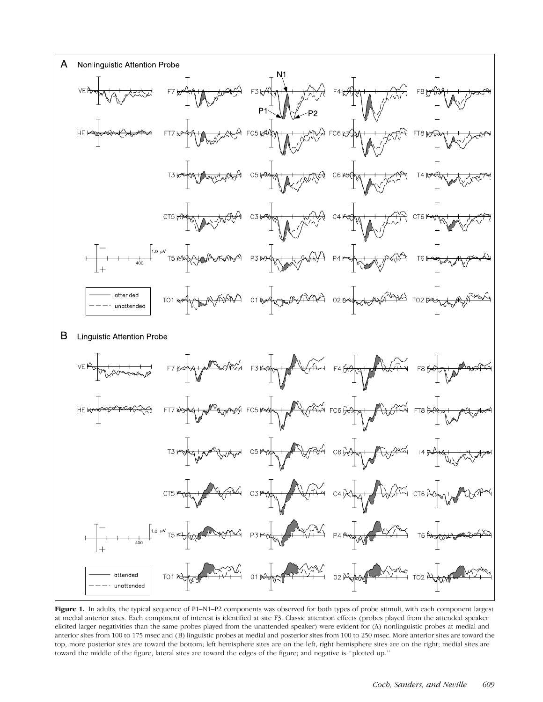

Figure 1. In adults, the typical sequence of P1-N1-P2 components was observed for both types of probe stimuli, with each component largest at medial anterior sites. Each component of interest is identified at site F3. Classic attention effects (probes played from the attended speaker elicited larger negativities than the same probes played from the unattended speaker) were evident for (A) nonlinguistic probes at medial and anterior sites from 100 to 175 msec and (B) linguistic probes at medial and posterior sites from 100 to 250 msec. More anterior sites are toward the top, more posterior sites are toward the bottom; left hemisphere sites are on the left, right hemisphere sites are on the right; medial sites are toward the middle of the figure, lateral sites are toward the edges of the figure; and negative is ''plotted up.''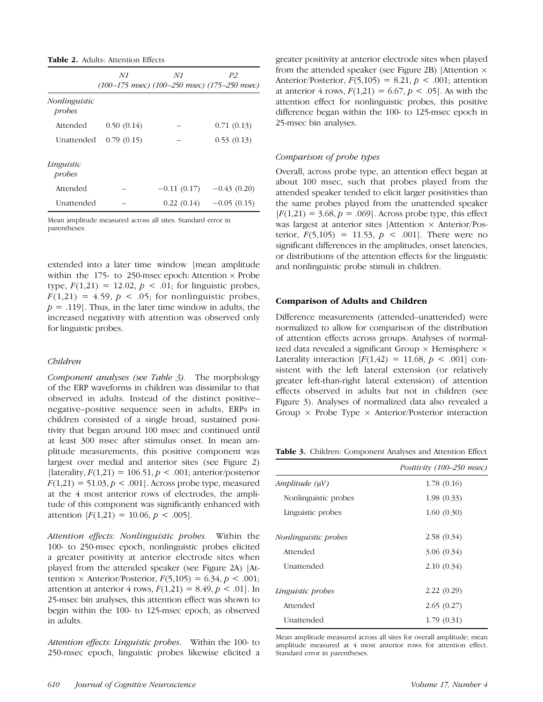|                         | N1         | N1            | P2<br>$(100-175$ msec) $(100-250$ msec) $(175-250$ msec) |
|-------------------------|------------|---------------|----------------------------------------------------------|
| Nonlinguistic<br>probes |            |               |                                                          |
| Attended                | 0.50(0.14) |               | 0.71(0.13)                                               |
| Unattended              | 0.79(0.15) |               | 0.53(0.13)                                               |
| Linguistic<br>probes    |            |               |                                                          |
| Attended                |            | $-0.11(0.17)$ | $-0.43(0.20)$                                            |
| Unattended              |            | 0.22(0.14)    | $-0.05(0.15)$                                            |

Mean amplitude measured across all sites. Standard error in parentheses.

extended into a later time window [mean amplitude within the 175- to 250-msec epoch: Attention  $\times$  Probe type,  $F(1,21) = 12.02$ ,  $p < .01$ ; for linguistic probes,  $F(1,21) = 4.59$ ,  $p < .05$ ; for nonlinguistic probes,  $p = .119$ . Thus, in the later time window in adults, the increased negativity with attention was observed only for linguistic probes.

## Children

Component analyses (see Table 3). The morphology of the ERP waveforms in children was dissimilar to that observed in adults. Instead of the distinct positive– negative–positive sequence seen in adults, ERPs in children consisted of a single broad, sustained positivity that began around 100 msec and continued until at least 300 msec after stimulus onset. In mean amplitude measurements, this positive component was largest over medial and anterior sites (see Figure 2) [laterality,  $F(1,21) = 106.51, p < .001$ ; anterior/posterior  $F(1,21) = 51.03, p < .001$ . Across probe type, measured at the 4 most anterior rows of electrodes, the amplitude of this component was significantly enhanced with attention  $[F(1,21) = 10.06, p < .005]$ .

Attention effects: Nonlinguistic probes. Within the 100- to 250-msec epoch, nonlinguistic probes elicited a greater positivity at anterior electrode sites when played from the attended speaker (see Figure 2A) [Attention  $\times$  Anterior/Posterior,  $F(5,105) = 6.34, p < .001;$ attention at anterior 4 rows,  $F(1,21) = 8.49, p < .01$ . In 25-msec bin analyses, this attention effect was shown to begin within the 100- to 125-msec epoch, as observed in adults.

Attention effects: Linguistic probes. Within the 100- to 250-msec epoch, linguistic probes likewise elicited a greater positivity at anterior electrode sites when played from the attended speaker (see Figure 2B) [Attention  $\times$ Anterior/Posterior,  $F(5,105) = 8.21$ ,  $p < .001$ ; attention at anterior 4 rows,  $F(1,21) = 6.67, p < .05$ . As with the attention effect for nonlinguistic probes, this positive difference began within the 100- to 125-msec epoch in 25-msec bin analyses.

## Comparison of probe types

Overall, across probe type, an attention effect began at about 100 msec, such that probes played from the attended speaker tended to elicit larger positivities than the same probes played from the unattended speaker  $[F(1,21) = 3.68, p = .069]$ . Across probe type, this effect was largest at anterior sites [Attention  $\times$  Anterior/Posterior,  $F(5,105) = 11.53$ ,  $p < .001$ . There were no significant differences in the amplitudes, onset latencies, or distributions of the attention effects for the linguistic and nonlinguistic probe stimuli in children.

#### Comparison of Adults and Children

Difference measurements (attended–unattended) were normalized to allow for comparison of the distribution of attention effects across groups. Analyses of normalized data revealed a significant Group  $\times$  Hemisphere  $\times$ Laterality interaction  $[F(1,42) = 11.68, p < .001]$  consistent with the left lateral extension (or relatively greater left-than-right lateral extension) of attention effects observed in adults but not in children (see Figure 3). Analyses of normalized data also revealed a Group  $\times$  Probe Type  $\times$  Anterior/Posterior interaction

Table 3. Children: Component Analyses and Attention Effect

|                             | Positivity (100–250 msec) |
|-----------------------------|---------------------------|
| Amplitude (µV)              | 1.78(0.16)                |
| Nonlinguistic probes        | 1.98(0.33)                |
| Linguistic probes           | 1.60(0.30)                |
| <i>Nonlinguistic probes</i> | 2.58(0.34)                |
| Attended                    | 3.06(0.34)                |
| Unattended                  | 2.10(0.34)                |
| Linguistic probes           | 2.22(0.29)                |
| Attended                    | 2.65(0.27)                |
| Unattended                  | 1.79(0.31)                |

Mean amplitude measured across all sites for overall amplitude; mean amplitude measured at 4 most anterior rows for attention effect. Standard error in parentheses.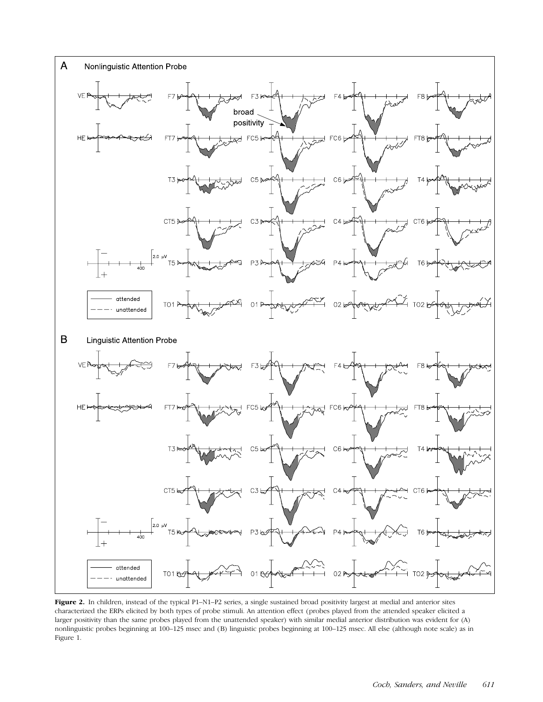

Figure 2. In children, instead of the typical P1-N1-P2 series, a single sustained broad positivity largest at medial and anterior sites characterized the ERPs elicited by both types of probe stimuli. An attention effect (probes played from the attended speaker elicited a larger positivity than the same probes played from the unattended speaker) with similar medial anterior distribution was evident for (A) nonlinguistic probes beginning at 100–125 msec and (B) linguistic probes beginning at 100–125 msec. All else (although note scale) as in Figure 1.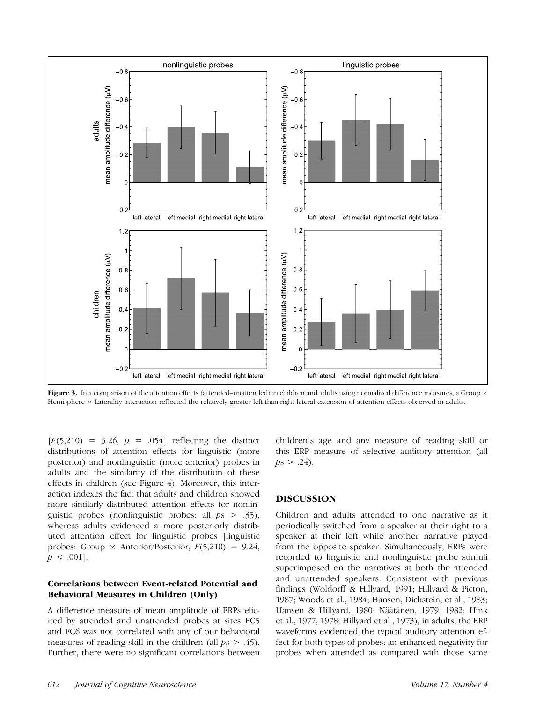

Figure 3. In a comparison of the attention effects (attended–unattended) in children and adults using normalized difference measures, a Group  $\times$ Hemisphere x Laterality interaction reflected the relatively greater left-than-right lateral extension of attention effects observed in adults.

 $[F(5,210) = 3.26, p = .054]$  reflecting the distinct distributions of attention effects for linguistic (more posterior) and nonlinguistic (more anterior) probes in adults and the similarity of the distribution of these effects in children (see Figure 4). Moreover, this interaction indexes the fact that adults and children showed more similarly distributed attention effects for nonlinguistic probes (nonlinguistic probes: all  $ps > .35$ ), whereas adults evidenced a more posteriorly distributed attention effect for linguistic probes [linguistic probes: Group  $\times$  Anterior/Posterior,  $F(5,210) = 9.24$ ,  $p < .001$ .

## Correlations between Event-related Potential and Behavioral Measures in Children (Only)

A difference measure of mean amplitude of ERPs elicited by attended and unattended probes at sites FC5 and FC6 was not correlated with any of our behavioral measures of reading skill in the children (all  $ps > .45$ ). Further, there were no significant correlations between

children's age and any measure of reading skill or this ERP measure of selective auditory attention (all  $ps > .24$ ).

# DISCUSSION

Children and adults attended to one narrative as it periodically switched from a speaker at their right to a speaker at their left while another narrative played from the opposite speaker. Simultaneously, ERPs were recorded to linguistic and nonlinguistic probe stimuli superimposed on the narratives at both the attended and unattended speakers. Consistent with previous findings (Woldorff & Hillyard, 1991; Hillyard & Picton, 1987; Woods et al., 1984; Hansen, Dickstein, et al., 1983; Hansen & Hillyard, 1980; Näätänen, 1979, 1982; Hink et al., 1977, 1978; Hillyard et al., 1973), in adults, the ERP waveforms evidenced the typical auditory attention effect for both types of probes: an enhanced negativity for probes when attended as compared with those same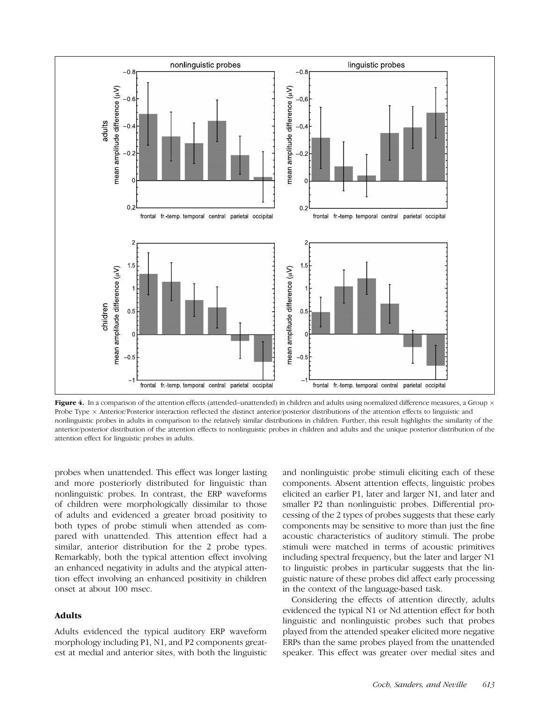

Figure 4. In a comparison of the attention effects (attended–unattended) in children and adults using normalized difference measures, a Group  $\times$ Probe Type  $\times$  Anterior/Posterior interaction reflected the distinct anterior/posterior distributions of the attention effects to linguistic and nonlinguistic probes in adults in comparison to the relatively similar distributions in children. Further, this result highlights the similarity of the anterior/posterior distribution of the attention effects to nonlinguistic probes in children and adults and the unique posterior distribution of the attention effect for linguistic probes in adults.

probes when unattended. This effect was longer lasting and more posteriorly distributed for linguistic than nonlinguistic probes. In contrast, the ERP waveforms of children were morphologically dissimilar to those of adults and evidenced a greater broad positivity to both types of probe stimuli when attended as compared with unattended. This attention effect had a similar, anterior distribution for the 2 probe types. Remarkably, both the typical attention effect involving an enhanced negativity in adults and the atypical attention effect involving an enhanced positivity in children onset at about 100 msec.

## Adults

Adults evidenced the typical auditory ERP waveform morphology including P1, N1, and P2 components greatest at medial and anterior sites, with both the linguistic and nonlinguistic probe stimuli eliciting each of these components. Absent attention effects, linguistic probes elicited an earlier P1, later and larger N1, and later and smaller P2 than nonlinguistic probes. Differential processing of the 2 types of probes suggests that these early components may be sensitive to more than just the fine acoustic characteristics of auditory stimuli. The probe stimuli were matched in terms of acoustic primitives including spectral frequency, but the later and larger N1 to linguistic probes in particular suggests that the linguistic nature of these probes did affect early processing in the context of the language-based task.

Considering the effects of attention directly, adults evidenced the typical N1 or Nd attention effect for both linguistic and nonlinguistic probes such that probes played from the attended speaker elicited more negative ERPs than the same probes played from the unattended speaker. This effect was greater over medial sites and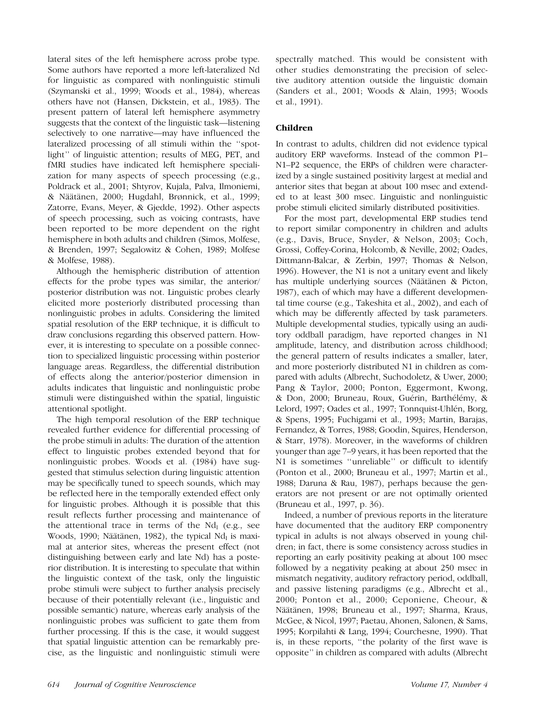lateral sites of the left hemisphere across probe type. Some authors have reported a more left-lateralized Nd for linguistic as compared with nonlinguistic stimuli (Szymanski et al., 1999; Woods et al., 1984), whereas others have not (Hansen, Dickstein, et al., 1983). The present pattern of lateral left hemisphere asymmetry suggests that the context of the linguistic task—listening selectively to one narrative—may have influenced the lateralized processing of all stimuli within the ''spotlight'' of linguistic attention; results of MEG, PET, and fMRI studies have indicated left hemisphere specialization for many aspects of speech processing (e.g., Poldrack et al., 2001; Shtyrov, Kujala, Palva, Ilmoniemi, & Näätänen, 2000; Hugdahl, Brønnick, et al., 1999; Zatorre, Evans, Meyer, & Gjedde, 1992). Other aspects of speech processing, such as voicing contrasts, have been reported to be more dependent on the right hemisphere in both adults and children (Simos, Molfese, & Brenden, 1997; Segalowitz & Cohen, 1989; Molfese & Molfese, 1988).

Although the hemispheric distribution of attention effects for the probe types was similar, the anterior/ posterior distribution was not. Linguistic probes clearly elicited more posteriorly distributed processing than nonlinguistic probes in adults. Considering the limited spatial resolution of the ERP technique, it is difficult to draw conclusions regarding this observed pattern. However, it is interesting to speculate on a possible connection to specialized linguistic processing within posterior language areas. Regardless, the differential distribution of effects along the anterior/posterior dimension in adults indicates that linguistic and nonlinguistic probe stimuli were distinguished within the spatial, linguistic attentional spotlight.

The high temporal resolution of the ERP technique revealed further evidence for differential processing of the probe stimuli in adults: The duration of the attention effect to linguistic probes extended beyond that for nonlinguistic probes. Woods et al. (1984) have suggested that stimulus selection during linguistic attention may be specifically tuned to speech sounds, which may be reflected here in the temporally extended effect only for linguistic probes. Although it is possible that this result reflects further processing and maintenance of the attentional trace in terms of the  $Nd<sub>l</sub>$  (e.g., see Woods, 1990; Näätänen, 1982), the typical Nd<sub>l</sub> is maximal at anterior sites, whereas the present effect (not distinguishing between early and late Nd) has a posterior distribution. It is interesting to speculate that within the linguistic context of the task, only the linguistic probe stimuli were subject to further analysis precisely because of their potentially relevant (i.e., linguistic and possible semantic) nature, whereas early analysis of the nonlinguistic probes was sufficient to gate them from further processing. If this is the case, it would suggest that spatial linguistic attention can be remarkably precise, as the linguistic and nonlinguistic stimuli were spectrally matched. This would be consistent with other studies demonstrating the precision of selective auditory attention outside the linguistic domain (Sanders et al., 2001; Woods & Alain, 1993; Woods et al., 1991).

# Children

In contrast to adults, children did not evidence typical auditory ERP waveforms. Instead of the common P1– N1–P2 sequence, the ERPs of children were characterized by a single sustained positivity largest at medial and anterior sites that began at about 100 msec and extended to at least 300 msec. Linguistic and nonlinguistic probe stimuli elicited similarly distributed positivities.

For the most part, developmental ERP studies tend to report similar componentry in children and adults (e.g., Davis, Bruce, Snyder, & Nelson, 2003; Coch, Grossi, Coffey-Corina, Holcomb, & Neville, 2002; Oades, Dittmann-Balcar, & Zerbin, 1997; Thomas & Nelson, 1996). However, the N1 is not a unitary event and likely has multiple underlying sources (Näätänen & Picton, 1987), each of which may have a different developmental time course (e.g., Takeshita et al., 2002), and each of which may be differently affected by task parameters. Multiple developmental studies, typically using an auditory oddball paradigm, have reported changes in N1 amplitude, latency, and distribution across childhood; the general pattern of results indicates a smaller, later, and more posteriorly distributed N1 in children as compared with adults (Albrecht, Suchodoletz, & Uwer, 2000; Pang & Taylor, 2000; Ponton, Eggermont, Kwong, & Don, 2000; Bruneau, Roux, Guérin, Barthélémy, & Lelord, 1997; Oades et al., 1997; Tonnquist-Uhlén, Borg, & Spens, 1995; Fuchigami et al., 1993; Martin, Barajas, Fernandez, & Torres, 1988; Goodin, Squires, Henderson, & Starr, 1978). Moreover, in the waveforms of children younger than age 7–9 years, it has been reported that the N1 is sometimes ''unreliable'' or difficult to identify (Ponton et al., 2000; Bruneau et al., 1997; Martin et al., 1988; Daruna & Rau, 1987), perhaps because the generators are not present or are not optimally oriented (Bruneau et al., 1997, p. 36).

Indeed, a number of previous reports in the literature have documented that the auditory ERP componentry typical in adults is not always observed in young children; in fact, there is some consistency across studies in reporting an early positivity peaking at about 100 msec followed by a negativity peaking at about 250 msec in mismatch negativity, auditory refractory period, oddball, and passive listening paradigms (e.g., Albrecht et al., 2000; Ponton et al., 2000; Ceponiene, Cheour, & Näätänen, 1998; Bruneau et al., 1997; Sharma, Kraus, McGee, & Nicol, 1997; Paetau, Ahonen, Salonen, & Sams, 1995; Korpilahti & Lang, 1994; Courchesne, 1990). That is, in these reports, ''the polarity of the first wave is opposite'' in children as compared with adults (Albrecht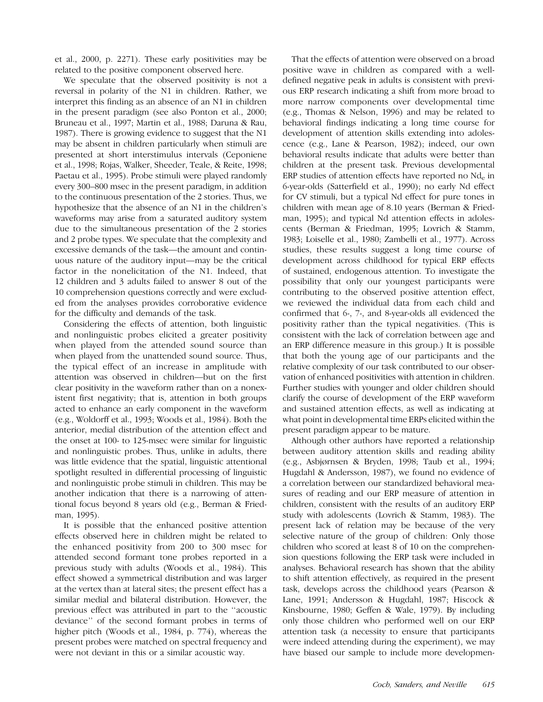et al., 2000, p. 2271). These early positivities may be related to the positive component observed here.

We speculate that the observed positivity is not a reversal in polarity of the N1 in children. Rather, we interpret this finding as an absence of an N1 in children in the present paradigm (see also Ponton et al., 2000; Bruneau et al., 1997; Martin et al., 1988; Daruna & Rau, 1987). There is growing evidence to suggest that the N1 may be absent in children particularly when stimuli are presented at short interstimulus intervals (Ceponiene et al., 1998; Rojas, Walker, Sheeder, Teale, & Reite, 1998; Paetau et al., 1995). Probe stimuli were played randomly every 300–800 msec in the present paradigm, in addition to the continuous presentation of the 2 stories. Thus, we hypothesize that the absence of an N1 in the children's waveforms may arise from a saturated auditory system due to the simultaneous presentation of the 2 stories and 2 probe types. We speculate that the complexity and excessive demands of the task—the amount and continuous nature of the auditory input—may be the critical factor in the nonelicitation of the N1. Indeed, that 12 children and 3 adults failed to answer 8 out of the 10 comprehension questions correctly and were excluded from the analyses provides corroborative evidence for the difficulty and demands of the task.

Considering the effects of attention, both linguistic and nonlinguistic probes elicited a greater positivity when played from the attended sound source than when played from the unattended sound source. Thus, the typical effect of an increase in amplitude with attention was observed in children—but on the first clear positivity in the waveform rather than on a nonexistent first negativity; that is, attention in both groups acted to enhance an early component in the waveform (e.g., Woldorff et al., 1993; Woods et al., 1984). Both the anterior, medial distribution of the attention effect and the onset at 100- to 125-msec were similar for linguistic and nonlinguistic probes. Thus, unlike in adults, there was little evidence that the spatial, linguistic attentional spotlight resulted in differential processing of linguistic and nonlinguistic probe stimuli in children. This may be another indication that there is a narrowing of attentional focus beyond 8 years old (e.g., Berman & Friedman, 1995).

It is possible that the enhanced positive attention effects observed here in children might be related to the enhanced positivity from 200 to 300 msec for attended second formant tone probes reported in a previous study with adults (Woods et al., 1984). This effect showed a symmetrical distribution and was larger at the vertex than at lateral sites; the present effect has a similar medial and bilateral distribution. However, the previous effect was attributed in part to the ''acoustic deviance'' of the second formant probes in terms of higher pitch (Woods et al., 1984, p. 774), whereas the present probes were matched on spectral frequency and were not deviant in this or a similar acoustic way.

That the effects of attention were observed on a broad positive wave in children as compared with a welldefined negative peak in adults is consistent with previous ERP research indicating a shift from more broad to more narrow components over developmental time (e.g., Thomas & Nelson, 1996) and may be related to behavioral findings indicating a long time course for development of attention skills extending into adolescence (e.g., Lane & Pearson, 1982); indeed, our own behavioral results indicate that adults were better than children at the present task. Previous developmental ERP studies of attention effects have reported no  $Nd<sub>e</sub>$  in 6-year-olds (Satterfield et al., 1990); no early Nd effect for CV stimuli, but a typical Nd effect for pure tones in children with mean age of 8.10 years (Berman & Friedman, 1995); and typical Nd attention effects in adolescents (Berman & Friedman, 1995; Lovrich & Stamm, 1983; Loiselle et al., 1980; Zambelli et al., 1977). Across studies, these results suggest a long time course of development across childhood for typical ERP effects of sustained, endogenous attention. To investigate the possibility that only our youngest participants were contributing to the observed positive attention effect, we reviewed the individual data from each child and confirmed that 6-, 7-, and 8-year-olds all evidenced the positivity rather than the typical negativities. (This is consistent with the lack of correlation between age and an ERP difference measure in this group.) It is possible that both the young age of our participants and the relative complexity of our task contributed to our observation of enhanced positivities with attention in children. Further studies with younger and older children should clarify the course of development of the ERP waveform and sustained attention effects, as well as indicating at what point in developmental time ERPs elicited within the present paradigm appear to be mature.

Although other authors have reported a relationship between auditory attention skills and reading ability (e.g., Asbjørnsen & Bryden, 1998; Taub et al., 1994; Hugdahl & Andersson, 1987), we found no evidence of a correlation between our standardized behavioral measures of reading and our ERP measure of attention in children, consistent with the results of an auditory ERP study with adolescents (Lovrich & Stamm, 1983). The present lack of relation may be because of the very selective nature of the group of children: Only those children who scored at least 8 of 10 on the comprehension questions following the ERP task were included in analyses. Behavioral research has shown that the ability to shift attention effectively, as required in the present task, develops across the childhood years (Pearson & Lane, 1991; Andersson & Hugdahl, 1987; Hiscock & Kinsbourne, 1980; Geffen & Wale, 1979). By including only those children who performed well on our ERP attention task (a necessity to ensure that participants were indeed attending during the experiment), we may have biased our sample to include more developmen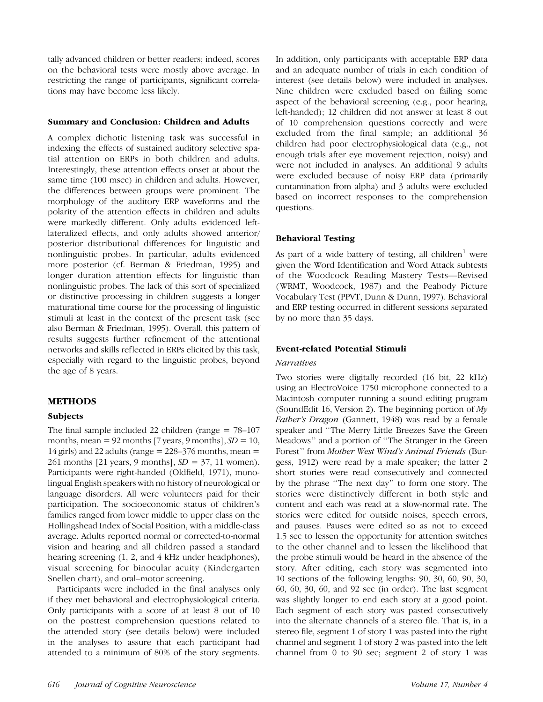tally advanced children or better readers; indeed, scores on the behavioral tests were mostly above average. In restricting the range of participants, significant correlations may have become less likely.

## Summary and Conclusion: Children and Adults

A complex dichotic listening task was successful in indexing the effects of sustained auditory selective spatial attention on ERPs in both children and adults. Interestingly, these attention effects onset at about the same time (100 msec) in children and adults. However, the differences between groups were prominent. The morphology of the auditory ERP waveforms and the polarity of the attention effects in children and adults were markedly different. Only adults evidenced leftlateralized effects, and only adults showed anterior/ posterior distributional differences for linguistic and nonlinguistic probes. In particular, adults evidenced more posterior (cf. Berman & Friedman, 1995) and longer duration attention effects for linguistic than nonlinguistic probes. The lack of this sort of specialized or distinctive processing in children suggests a longer maturational time course for the processing of linguistic stimuli at least in the context of the present task (see also Berman & Friedman, 1995). Overall, this pattern of results suggests further refinement of the attentional networks and skills reflected in ERPs elicited by this task, especially with regard to the linguistic probes, beyond the age of 8 years.

# METHODS

## Subjects

The final sample included 22 children (range  $= 78-107$ months, mean = 92 months  $[7 \text{ years}, 9 \text{ months}], SD = 10$ , 14 girls) and 22 adults (range  $= 228-376$  months, mean  $=$ 261 months [21 years, 9 months],  $SD = 37$ , 11 women). Participants were right-handed (Oldfield, 1971), monolingual English speakers with no history of neurological or language disorders. All were volunteers paid for their participation. The socioeconomic status of children's families ranged from lower middle to upper class on the Hollingshead Index of Social Position, with a middle-class average. Adults reported normal or corrected-to-normal vision and hearing and all children passed a standard hearing screening  $(1, 2, 2)$  and 4 kHz under headphones), visual screening for binocular acuity (Kindergarten Snellen chart), and oral–motor screening.

Participants were included in the final analyses only if they met behavioral and electrophysiological criteria. Only participants with a score of at least 8 out of 10 on the posttest comprehension questions related to the attended story (see details below) were included in the analyses to assure that each participant had attended to a minimum of 80% of the story segments.

In addition, only participants with acceptable ERP data and an adequate number of trials in each condition of interest (see details below) were included in analyses. Nine children were excluded based on failing some aspect of the behavioral screening (e.g., poor hearing, left-handed); 12 children did not answer at least 8 out of 10 comprehension questions correctly and were excluded from the final sample; an additional 36 children had poor electrophysiological data (e.g., not enough trials after eye movement rejection, noisy) and were not included in analyses. An additional 9 adults were excluded because of noisy ERP data (primarily contamination from alpha) and 3 adults were excluded based on incorrect responses to the comprehension questions.

# Behavioral Testing

As part of a wide battery of testing, all children<sup>1</sup> were given the Word Identification and Word Attack subtests of the Woodcock Reading Mastery Tests—Revised (WRMT, Woodcock, 1987) and the Peabody Picture Vocabulary Test (PPVT, Dunn & Dunn, 1997). Behavioral and ERP testing occurred in different sessions separated by no more than 35 days.

# Event-related Potential Stimuli

## **Narratives**

Two stories were digitally recorded (16 bit, 22 kHz) using an ElectroVoice 1750 microphone connected to a Macintosh computer running a sound editing program (SoundEdit 16, Version 2). The beginning portion of  $My$ Father's Dragon (Gannett, 1948) was read by a female speaker and ''The Merry Little Breezes Save the Green Meadows'' and a portion of ''The Stranger in the Green Forest'' from Mother West Wind's Animal Friends (Burgess, 1912) were read by a male speaker; the latter 2 short stories were read consecutively and connected by the phrase ''The next day'' to form one story. The stories were distinctively different in both style and content and each was read at a slow-normal rate. The stories were edited for outside noises, speech errors, and pauses. Pauses were edited so as not to exceed 1.5 sec to lessen the opportunity for attention switches to the other channel and to lessen the likelihood that the probe stimuli would be heard in the absence of the story. After editing, each story was segmented into 10 sections of the following lengths: 90, 30, 60, 90, 30, 60, 60, 30, 60, and 92 sec (in order). The last segment was slightly longer to end each story at a good point. Each segment of each story was pasted consecutively into the alternate channels of a stereo file. That is, in a stereo file, segment 1 of story 1 was pasted into the right channel and segment 1 of story 2 was pasted into the left channel from 0 to 90 sec; segment 2 of story 1 was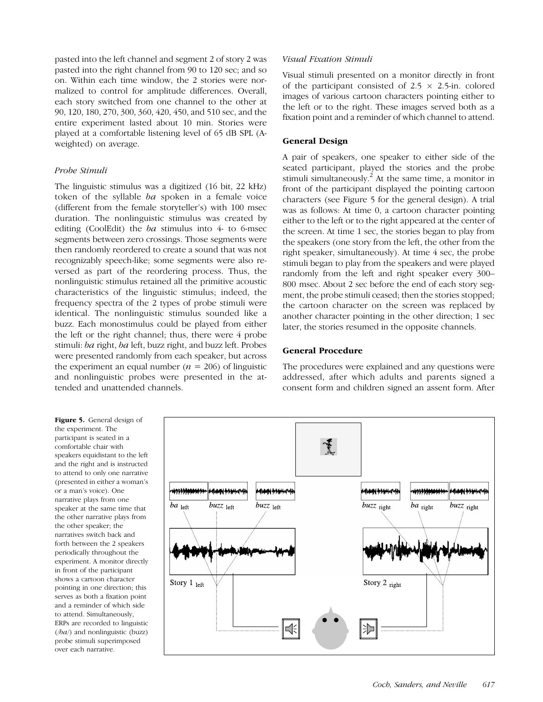pasted into the left channel and segment 2 of story 2 was pasted into the right channel from 90 to 120 sec; and so on. Within each time window, the 2 stories were normalized to control for amplitude differences. Overall, each story switched from one channel to the other at 90, 120, 180, 270, 300, 360, 420, 450, and 510 sec, and the entire experiment lasted about 10 min. Stories were played at a comfortable listening level of 65 dB SPL (Aweighted) on average.

## Probe Stimuli

The linguistic stimulus was a digitized (16 bit, 22 kHz) token of the syllable ba spoken in a female voice (different from the female storyteller's) with 100 msec duration. The nonlinguistic stimulus was created by editing (CoolEdit) the  $ba$  stimulus into 4- to 6-msec segments between zero crossings. Those segments were then randomly reordered to create a sound that was not recognizably speech-like; some segments were also reversed as part of the reordering process. Thus, the nonlinguistic stimulus retained all the primitive acoustic characteristics of the linguistic stimulus; indeed, the frequency spectra of the 2 types of probe stimuli were identical. The nonlinguistic stimulus sounded like a buzz. Each monostimulus could be played from either the left or the right channel; thus, there were 4 probe stimuli: ba right, ba left, buzz right, and buzz left. Probes were presented randomly from each speaker, but across the experiment an equal number ( $n = 206$ ) of linguistic and nonlinguistic probes were presented in the attended and unattended channels.

Visual Fixation Stimuli

Visual stimuli presented on a monitor directly in front of the participant consisted of  $2.5 \times 2.5$ -in. colored images of various cartoon characters pointing either to the left or to the right. These images served both as a fixation point and a reminder of which channel to attend.

## General Design

A pair of speakers, one speaker to either side of the seated participant, played the stories and the probe stimuli simultaneously.<sup>2</sup> At the same time, a monitor in front of the participant displayed the pointing cartoon characters (see Figure 5 for the general design). A trial was as follows: At time 0, a cartoon character pointing either to the left or to the right appeared at the center of the screen. At time 1 sec, the stories began to play from the speakers (one story from the left, the other from the right speaker, simultaneously). At time 4 sec, the probe stimuli began to play from the speakers and were played randomly from the left and right speaker every 300– 800 msec. About 2 sec before the end of each story segment, the probe stimuli ceased; then the stories stopped; the cartoon character on the screen was replaced by another character pointing in the other direction; 1 sec later, the stories resumed in the opposite channels.

## General Procedure

The procedures were explained and any questions were addressed, after which adults and parents signed a consent form and children signed an assent form. After

Figure 5. General design of the experiment. The participant is seated in a comfortable chair with speakers equidistant to the left and the right and is instructed to attend to only one narrative (presented in either a woman's or a man's voice). One narrative plays from one speaker at the same time that the other narrative plays from the other speaker; the narratives switch back and forth between the 2 speakers periodically throughout the experiment. A monitor directly in front of the participant shows a cartoon character pointing in one direction; this serves as both a fixation point and a reminder of which side to attend. Simultaneously, ERPs are recorded to linguistic  $(\sqrt{ba})$  and nonlinguistic (buzz) probe stimuli superimposed over each narrative.

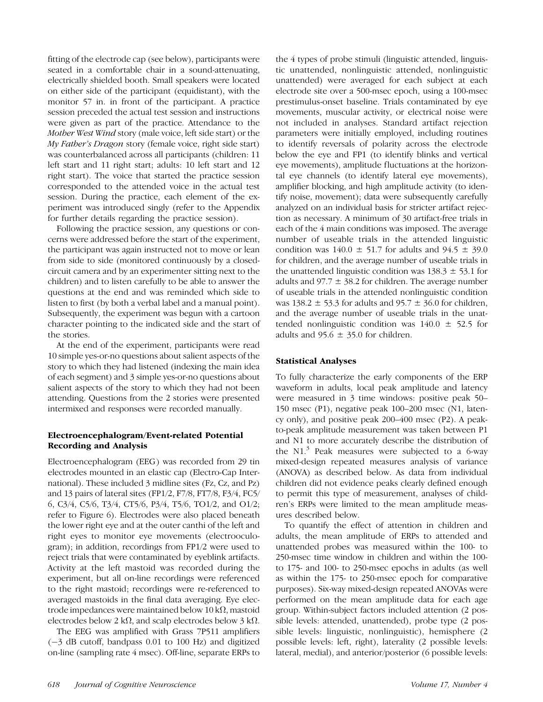fitting of the electrode cap (see below), participants were seated in a comfortable chair in a sound-attenuating, electrically shielded booth. Small speakers were located on either side of the participant (equidistant), with the monitor 57 in. in front of the participant. A practice session preceded the actual test session and instructions were given as part of the practice. Attendance to the Mother West Wind story (male voice, left side start) or the My Father's Dragon story (female voice, right side start) was counterbalanced across all participants (children: 11 left start and 11 right start; adults: 10 left start and 12 right start). The voice that started the practice session corresponded to the attended voice in the actual test session. During the practice, each element of the experiment was introduced singly (refer to the Appendix for further details regarding the practice session).

Following the practice session, any questions or concerns were addressed before the start of the experiment, the participant was again instructed not to move or lean from side to side (monitored continuously by a closedcircuit camera and by an experimenter sitting next to the children) and to listen carefully to be able to answer the questions at the end and was reminded which side to listen to first (by both a verbal label and a manual point). Subsequently, the experiment was begun with a cartoon character pointing to the indicated side and the start of the stories.

At the end of the experiment, participants were read 10 simple yes-or-no questions about salient aspects of the story to which they had listened (indexing the main idea of each segment) and 3 simple yes-or-no questions about salient aspects of the story to which they had not been attending. Questions from the 2 stories were presented intermixed and responses were recorded manually.

# Electroencephalogram/Event-related Potential Recording and Analysis

Electroencephalogram (EEG) was recorded from 29 tin electrodes mounted in an elastic cap (Electro-Cap International). These included 3 midline sites (Fz, Cz, and Pz) and 13 pairs of lateral sites (FP1/2, F7/8, FT7/8, F3/4, FC5/ 6, C3/4, C5/6, T3/4, CT5/6, P3/4, T5/6, TO1/2, and O1/2; refer to Figure 6). Electrodes were also placed beneath the lower right eye and at the outer canthi of the left and right eyes to monitor eye movements (electrooculogram); in addition, recordings from FP1/2 were used to reject trials that were contaminated by eyeblink artifacts. Activity at the left mastoid was recorded during the experiment, but all on-line recordings were referenced to the right mastoid; recordings were re-referenced to averaged mastoids in the final data averaging. Eye electrode impedances were maintained below 10 k $\Omega$ , mastoid electrodes below 2 k $\Omega$ , and scalp electrodes below 3 k $\Omega$ .

The EEG was amplified with Grass 7P511 amplifiers (-3 dB cutoff, bandpass 0.01 to 100 Hz) and digitized on-line (sampling rate 4 msec). Off-line, separate ERPs to

the 4 types of probe stimuli (linguistic attended, linguistic unattended, nonlinguistic attended, nonlinguistic unattended) were averaged for each subject at each electrode site over a 500-msec epoch, using a 100-msec prestimulus-onset baseline. Trials contaminated by eye movements, muscular activity, or electrical noise were not included in analyses. Standard artifact rejection parameters were initially employed, including routines to identify reversals of polarity across the electrode below the eye and FP1 (to identify blinks and vertical eye movements), amplitude fluctuations at the horizontal eye channels (to identify lateral eye movements), amplifier blocking, and high amplitude activity (to identify noise, movement); data were subsequently carefully analyzed on an individual basis for stricter artifact rejection as necessary. A minimum of 30 artifact-free trials in each of the 4 main conditions was imposed. The average number of useable trials in the attended linguistic condition was  $140.0 \pm 51.7$  for adults and  $94.5 \pm 39.0$ for children, and the average number of useable trials in the unattended linguistic condition was  $138.3 \pm 53.1$  for adults and  $97.7 \pm 38.2$  for children. The average number of useable trials in the attended nonlinguistic condition was  $138.2 \pm 53.3$  for adults and  $95.7 \pm 36.0$  for children, and the average number of useable trials in the unattended nonlinguistic condition was  $140.0 \pm 52.5$  for adults and  $95.6 \pm 35.0$  for children.

# Statistical Analyses

To fully characterize the early components of the ERP waveform in adults, local peak amplitude and latency were measured in 3 time windows: positive peak 50– 150 msec (P1), negative peak 100–200 msec (N1, latency only), and positive peak 200–400 msec (P2). A peakto-peak amplitude measurement was taken between P1 and N1 to more accurately describe the distribution of the N1. $3$  Peak measures were subjected to a 6-way mixed-design repeated measures analysis of variance (ANOVA) as described below. As data from individual children did not evidence peaks clearly defined enough to permit this type of measurement, analyses of children's ERPs were limited to the mean amplitude measures described below.

To quantify the effect of attention in children and adults, the mean amplitude of ERPs to attended and unattended probes was measured within the 100- to 250-msec time window in children and within the 100 to 175- and 100- to 250-msec epochs in adults (as well as within the 175- to 250-msec epoch for comparative purposes). Six-way mixed-design repeated ANOVAs were performed on the mean amplitude data for each age group. Within-subject factors included attention (2 possible levels: attended, unattended), probe type (2 possible levels: linguistic, nonlinguistic), hemisphere (2 possible levels: left, right), laterality (2 possible levels: lateral, medial), and anterior/posterior (6 possible levels: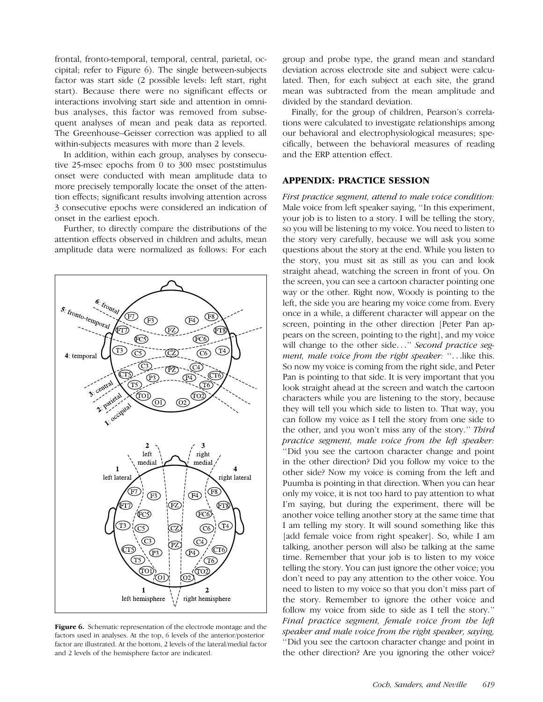frontal, fronto-temporal, temporal, central, parietal, occipital; refer to Figure 6). The single between-subjects factor was start side (2 possible levels: left start, right start). Because there were no significant effects or interactions involving start side and attention in omnibus analyses, this factor was removed from subsequent analyses of mean and peak data as reported. The Greenhouse–Geisser correction was applied to all within-subjects measures with more than 2 levels.

In addition, within each group, analyses by consecutive 25-msec epochs from 0 to 300 msec poststimulus onset were conducted with mean amplitude data to more precisely temporally locate the onset of the attention effects; significant results involving attention across 3 consecutive epochs were considered an indication of onset in the earliest epoch.

Further, to directly compare the distributions of the attention effects observed in children and adults, mean amplitude data were normalized as follows: For each



Figure 6. Schematic representation of the electrode montage and the factors used in analyses. At the top, 6 levels of the anterior/posterior factor are illustrated. At the bottom, 2 levels of the lateral/medial factor and 2 levels of the hemisphere factor are indicated.

group and probe type, the grand mean and standard deviation across electrode site and subject were calculated. Then, for each subject at each site, the grand mean was subtracted from the mean amplitude and divided by the standard deviation.

Finally, for the group of children, Pearson's correlations were calculated to investigate relationships among our behavioral and electrophysiological measures; specifically, between the behavioral measures of reading and the ERP attention effect.

## APPENDIX: PRACTICE SESSION

First practice segment, attend to male voice condition: Male voice from left speaker saying, ''In this experiment, your job is to listen to a story. I will be telling the story, so you will be listening to my voice. You need to listen to the story very carefully, because we will ask you some questions about the story at the end. While you listen to the story, you must sit as still as you can and look straight ahead, watching the screen in front of you. On the screen, you can see a cartoon character pointing one way or the other. Right now, Woody is pointing to the left, the side you are hearing my voice come from. Every once in a while, a different character will appear on the screen, pointing in the other direction [Peter Pan appears on the screen, pointing to the right], and my voice will change to the other side..." Second practice segment, male voice from the right speaker: "...like this. So now my voice is coming from the right side, and Peter Pan is pointing to that side. It is very important that you look straight ahead at the screen and watch the cartoon characters while you are listening to the story, because they will tell you which side to listen to. That way, you can follow my voice as I tell the story from one side to the other, and you won't miss any of the story.'' Third practice segment, male voice from the left speaker: ''Did you see the cartoon character change and point in the other direction? Did you follow my voice to the other side? Now my voice is coming from the left and Puumba is pointing in that direction. When you can hear only my voice, it is not too hard to pay attention to what I'm saying, but during the experiment, there will be another voice telling another story at the same time that I am telling my story. It will sound something like this [add female voice from right speaker]. So, while I am talking, another person will also be talking at the same time. Remember that your job is to listen to my voice telling the story. You can just ignore the other voice; you don't need to pay any attention to the other voice. You need to listen to my voice so that you don't miss part of the story. Remember to ignore the other voice and follow my voice from side to side as I tell the story.'' Final practice segment, female voice from the left speaker and male voice from the right speaker, saying, ''Did you see the cartoon character change and point in the other direction? Are you ignoring the other voice?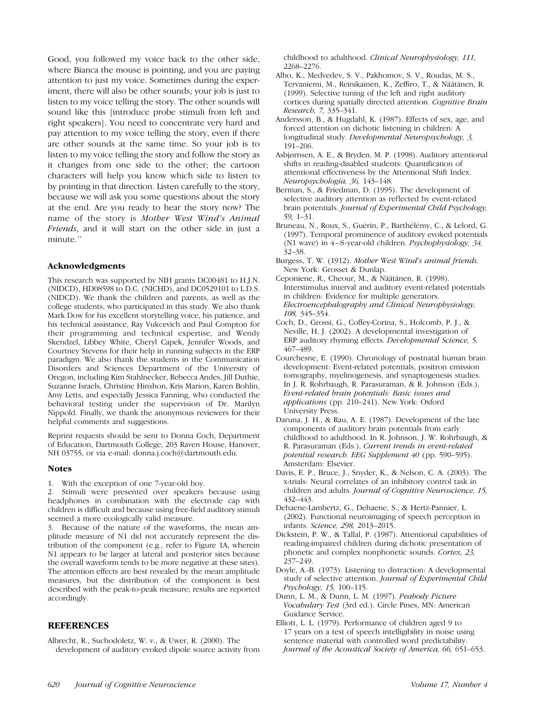Good, you followed my voice back to the other side, where Bianca the mouse is pointing, and you are paying attention to just my voice. Sometimes during the experiment, there will also be other sounds; your job is just to listen to my voice telling the story. The other sounds will sound like this [introduce probe stimuli from left and right speakers]. You need to concentrate very hard and pay attention to my voice telling the story, even if there are other sounds at the same time. So your job is to listen to my voice telling the story and follow the story as it changes from one side to the other; the cartoon characters will help you know which side to listen to by pointing in that direction. Listen carefully to the story, because we will ask you some questions about the story at the end. Are you ready to hear the story now? The name of the story is Mother West Wind's Animal Friends, and it will start on the other side in just a minute.''

#### Acknowledgments

This research was supported by NIH grants DC00481 to H.J.N. (NIDCD), HD08598 to D.C. (NICHD), and DC0529101 to L.D.S. (NIDCD). We thank the children and parents, as well as the college students, who participated in this study. We also thank Mark Dow for his excellent storytelling voice, his patience, and his technical assistance, Ray Vukcevich and Paul Compton for their programming and technical expertise, and Wendy Skendzel, Libbey White, Cheryl Capek, Jennifer Woods, and Courtney Stevens for their help in running subjects in the ERP paradigm. We also thank the students in the Communication Disorders and Sciences Department of the University of Oregon, including Kim Stahlnecker, Rebecca Andes, Jill Duthie, Suzanne Israels, Christine Hinshon, Kris Marion, Karen Bohlin, Amy Letts, and especially Jessica Fanning, who conducted the behavioral testing under the supervision of Dr. Marilyn Nippold. Finally, we thank the anonymous reviewers for their helpful comments and suggestions.

Reprint requests should be sent to Donna Coch, Department of Education, Dartmouth College, 203 Raven House, Hanover, NH 03755, or via e-mail: donna.j.coch@dartmouth.edu.

#### Notes

1. With the exception of one 7-year-old boy.

2. Stimuli were presented over speakers because using headphones in combination with the electrode cap with children is difficult and because using free-field auditory stimuli seemed a more ecologically valid measure.

3. Because of the nature of the waveforms, the mean amplitude measure of N1 did not accurately represent the distribution of the component (e.g., refer to Figure 1A, wherein N1 appears to be larger at lateral and posterior sites because the overall waveform tends to be more negative at these sites). The attention effects are best revealed by the mean amplitude measures, but the distribution of the component is best described with the peak-to-peak measure; results are reported accordingly.

## **REFERENCES**

Albrecht, R., Suchodoletz, W. v., & Uwer, R. (2000). The development of auditory evoked dipole source activity from childhood to adulthood. Clinical Neurophysiology, 111, 2268–2276.

- Alho, K., Medvedev, S. V., Pakhomov, S. V., Roudas, M. S., Tervaniemi, M., Reinikainen, K., Zeffiro, T., & Näätänen, R. (1999). Selective tuning of the left and right auditory cortices during spatially directed attention. Cognitive Brain Research, 7, 335–341.
- Andersson, B., & Hugdahl, K. (1987). Effects of sex, age, and forced attention on dichotic listening in children: A longitudinal study. Developmental Neuropsychology, 3, 191–206.
- Asbjørnsen, A. E., & Bryden, M. P. (1998). Auditory attentional shifts in reading-disabled students: Quantification of attentional effectiveness by the Attentional Shift Index. Neuropsychologia, 36, 143–148.
- Berman, S., & Friedman, D. (1995). The development of selective auditory attention as reflected by event-related brain potentials. Journal of Experimental Child Psychology, 59, 1–31.
- Bruneau, N., Roux, S., Guérin, P., Barthélémy, C., & Lelord, G. (1997). Temporal prominence of auditory evoked potentials (N1 wave) in  $4-8$ -year-old children. *Psychophysiology*,  $34$ , 32–38.
- Burgess, T. W. (1912). Mother West Wind's animal friends. New York: Grosset & Dunlap.
- Ceponiene, R., Cheour, M., & Näätänen, R. (1998). Interstimulus interval and auditory event-related potentials in children: Evidence for multiple generators. Electroencephalography and Clinical Neurophysiology, 108, 345–354.
- Coch, D., Grossi, G., Coffey-Corina, S., Holcomb, P. J., & Neville, H. J. (2002). A developmental investigation of ERP auditory rhyming effects. Developmental Science, 5, 467–489.
- Courchesne, E. (1990). Chronology of postnatal human brain development: Event-related potentials, positron emission tomography, myelinogenesis, and synaptogenesis studies. In J. R. Rohrbaugh, R. Parasuraman, & R. Johnson (Eds.), Event-related brain potentials: Basic issues and applications (pp. 210–241). New York: Oxford University Press.
- Daruna, J. H., & Rau, A. E. (1987). Development of the late components of auditory brain potentials from early childhood to adulthood. In R. Johnson, J. W. Rohrbaugh, & R. Parasuraman (Eds.), Current trends in event-related potential research. EEG Supplement 40 (pp. 590–595). Amsterdam: Elsevier.
- Davis, E. P., Bruce, J., Snyder, K., & Nelson, C. A. (2003). The x-trials: Neural correlates of an inhibitory control task in children and adults. Journal of Cognitive Neuroscience, 15, 432–443.
- Dehaene-Lambertz, G., Dehaene, S., & Hertz-Pannier, L. (2002). Functional neuroimaging of speech perception in infants. Science, 298, 2013–2015.
- Dickstein, P. W., & Tallal, P. (1987). Attentional capabilities of reading-impaired children during dichotic presentation of phonetic and complex nonphonetic sounds. Cortex, 23, 237–249.
- Doyle, A.-B. (1973). Listening to distraction: A developmental study of selective attention. Journal of Experimental Child Psychology, 15, 100–115.
- Dunn, L. M., & Dunn, L. M. (1997). Peabody Picture Vocabulary Test (3rd ed.). Circle Pines, MN: American Guidance Service.
- Elliott, L. L. (1979). Performance of children aged 9 to 17 years on a test of speech intelligibility in noise using sentence material with controlled word predictability. Journal of the Acoustical Society of America, 66, 651–653.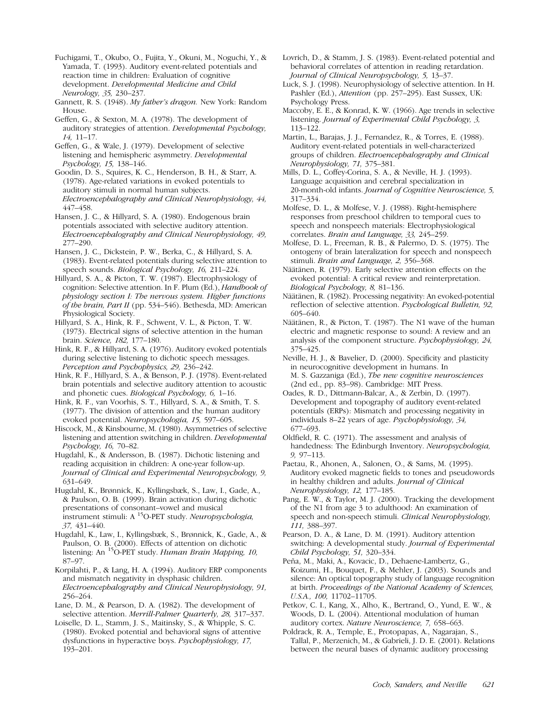Fuchigami, T., Okubo, O., Fujita, Y., Okuni, M., Noguchi, Y., & Yamada, T. (1993). Auditory event-related potentials and reaction time in children: Evaluation of cognitive development. Developmental Medicine and Child Neurology, 35, 230–237.

Gannett, R. S. (1948). My father's dragon. New York: Random House.

Geffen, G., & Sexton, M. A. (1978). The development of auditory strategies of attention. Developmental Psychology, 14, 11–17.

Geffen, G., & Wale, J. (1979). Development of selective listening and hemispheric asymmetry. Developmental Psychology, 15, 138–146.

Goodin, D. S., Squires, K. C., Henderson, B. H., & Starr, A. (1978). Age-related variations in evoked potentials to auditory stimuli in normal human subjects. Electroencephalography and Clinical Neurophysiology, 44, 447–458.

Hansen, J. C., & Hillyard, S. A. (1980). Endogenous brain potentials associated with selective auditory attention. Electroencephalography and Clinical Neurophysiology, 49, 277–290.

Hansen, J. C., Dickstein, P. W., Berka, C., & Hillyard, S. A. (1983). Event-related potentials during selective attention to speech sounds. Biological Psychology, 16, 211–224.

Hillyard, S. A., & Picton, T. W. (1987). Electrophysiology of cognition: Selective attention. In F. Plum (Ed.), Handbook of physiology section I: The nervous system. Higher functions of the brain, Part II (pp. 534–546). Bethesda, MD: American Physiological Society.

Hillyard, S. A., Hink, R. F., Schwent, V. L., & Picton, T. W. (1973). Electrical signs of selective attention in the human brain. Science, 182, 177–180.

Hink, R. F., & Hillyard, S. A. (1976). Auditory evoked potentials during selective listening to dichotic speech messages. Perception and Psychophysics, 29, 236–242.

Hink, R. F., Hillyard, S. A., & Benson, P. J. (1978). Event-related brain potentials and selective auditory attention to acoustic and phonetic cues. Biological Psychology, 6, 1–16.

Hink, R. F., van Voorhis, S. T., Hillyard, S. A., & Smith, T. S. (1977). The division of attention and the human auditory evoked potential. Neuropsychologia, 15, 597–605.

Hiscock, M., & Kinsbourne, M. (1980). Asymmetries of selective listening and attention switching in children. Developmental Psychology, 16, 70–82.

Hugdahl, K., & Andersson, B. (1987). Dichotic listening and reading acquisition in children: A one-year follow-up. Journal of Clinical and Experimental Neuropsychology, 9, 631–649.

Hugdahl, K., Brønnick, K., Kyllingsbæk, S., Law, I., Gade, A., & Paulson, O. B. (1999). Brain activation during dichotic presentations of consonant–vowel and musical instrument stimuli:  $A<sup>15</sup>O-PET$  study. *Neuropsychologia*, 37, 431–440.

Hugdahl, K., Law, I., Kyllingsbæk, S., Brønnick, K., Gade, A., & Paulson, O. B. (2000). Effects of attention on dichotic listening: An  ${}^{15}O$ -PET study. Human Brain Mapping, 10, 87–97.

Korpilahti, P., & Lang, H. A. (1994). Auditory ERP components and mismatch negativity in dysphasic children. Electroencephalography and Clinical Neurophysiology, 91, 256–264.

Lane, D. M., & Pearson, D. A. (1982). The development of selective attention. Merrill-Palmer Quarterly, 28, 317-337.

Loiselle, D. L., Stamm, J. S., Maitinsky, S., & Whipple, S. C. (1980). Evoked potential and behavioral signs of attentive dysfunctions in hyperactive boys. Psychophysiology, 17, 193–201.

Lovrich, D., & Stamm, J. S. (1983). Event-related potential and behavioral correlates of attention in reading retardation. Journal of Clinical Neuropsychology, 5, 13–37.

Luck, S. J. (1998). Neurophysiology of selective attention. In H. Pashler (Ed.), Attention (pp. 257–295). East Sussex, UK: Psychology Press.

Maccoby, E. E., & Konrad, K. W. (1966). Age trends in selective listening. Journal of Experimental Child Psychology, 3, 113–122.

Martin, L., Barajas, J. J., Fernandez, R., & Torres, E. (1988). Auditory event-related potentials in well-characterized groups of children. Electroencephalography and Clinical Neurophysiology, 71, 375–381.

Mills, D. L., Coffey-Corina, S. A., & Neville, H. J. (1993). Language acquisition and cerebral specialization in 20-month-old infants. Journal of Cognitive Neuroscience, 5, 317–334.

Molfese, D. L., & Molfese, V. J. (1988). Right-hemisphere responses from preschool children to temporal cues to speech and nonspeech materials: Electrophysiological correlates. Brain and Language, 33, 245–259.

Molfese, D. L., Freeman, R. B., & Palermo, D. S. (1975). The ontogeny of brain lateralization for speech and nonspeech stimuli. Brain and Language, 2, 356–368.

Näätänen, R. (1979). Early selective attention effects on the evoked potential: A critical review and reinterpretation. Biological Psychology, 8, 81–136.

Näätänen, R. (1982). Processing negativity: An evoked-potential reflection of selective attention. Psychological Bulletin, 92, 605–640.

Näätänen, R., & Picton, T. (1987). The N1 wave of the human electric and magnetic response to sound: A review and an analysis of the component structure. Psychophysiology, 24, 375–425.

Neville, H. J., & Bavelier, D. (2000). Specificity and plasticity in neurocognitive development in humans. In M. S. Gazzaniga (Ed.), The new cognitive neurosciences (2nd ed., pp. 83–98). Cambridge: MIT Press.

Oades, R. D., Dittmann-Balcar, A., & Zerbin, D. (1997). Development and topography of auditory event-related potentials (ERPs): Mismatch and processing negativity in individuals 8–22 years of age. Psychophysiology, 34, 677–693.

Oldfield, R. C. (1971). The assessment and analysis of handedness: The Edinburgh Inventory. Neuropsychologia, 9, 97–113.

Paetau, R., Ahonen, A., Salonen, O., & Sams, M. (1995). Auditory evoked magnetic fields to tones and pseudowords in healthy children and adults. Journal of Clinical Neurophysiology, 12, 177–185.

Pang, E. W., & Taylor, M. J. (2000). Tracking the development of the N1 from age 3 to adulthood: An examination of speech and non-speech stimuli. Clinical Neurophysiology, 111, 388–397.

Pearson, D. A., & Lane, D. M. (1991). Auditory attention switching: A developmental study. Journal of Experimental Child Psychology, 51, 320–334.

Peña, M., Maki, A., Kovacic, D., Dehaene-Lambertz, G., Koizumi, H., Bouquet, F., & Mehler, J. (2003). Sounds and silence: An optical topography study of language recognition at birth. Proceedings of the National Academy of Sciences, U.S.A., 100, 11702–11705.

Petkov, C. I., Kang, X., Alho, K., Bertrand, O., Yund, E. W., & Woods, D. L. (2004). Attentional modulation of human auditory cortex. Nature Neuroscience, 7, 658–663.

Poldrack, R. A., Temple, E., Protopapas, A., Nagarajan, S., Tallal, P., Merzenich, M., & Gabrieli, J. D. E. (2001). Relations between the neural bases of dynamic auditory processing